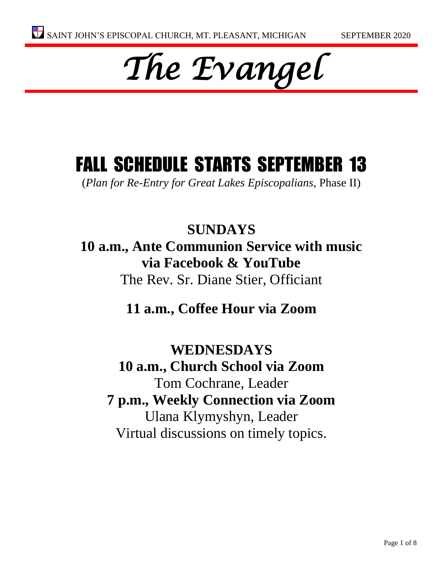

# FALL SCHEDULE STARTS SEPTEMBER 13

(*Plan for Re-Entry for Great Lakes Episcopalians,* Phase II)

**SUNDAYS 10 a.m., Ante Communion Service with music via Facebook & YouTube** The Rev. Sr. Diane Stier, Officiant

**11 a.m., Coffee Hour via Zoom**

**WEDNESDAYS 10 a.m., Church School via Zoom** Tom Cochrane, Leader **7 p.m., Weekly Connection via Zoom** Ulana Klymyshyn, Leader Virtual discussions on timely topics.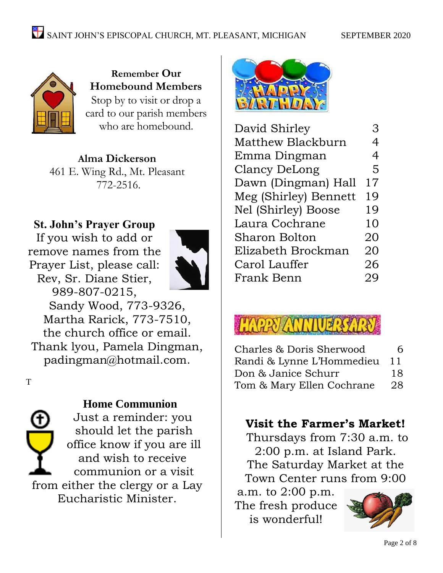

**Remember Our Homebound Members** Stop by to visit or drop a card to our parish members who are homebound.

**Alma Dickerson** 461 E. Wing Rd., Mt. Pleasant 772-2516.

### **St. John's Prayer Group**

If you wish to add or remove names from the Prayer List, please call: Rev, Sr. Diane Stier, 989-807-0215,



Sandy Wood, 773-9326, Martha Rarick, 773-7510, the church office or email. Thank lyou, Pamela Dingman, padingman@hotmail.com.

T

## **Home Communion**

Just a reminder: you should let the parish office know if you are ill and wish to receive communion or a visit from either the clergy or a Lay Eucharistic Minister.



| David Shirley         | З  |
|-----------------------|----|
| Matthew Blackburn     | 4  |
| Emma Dingman          | 4  |
| Clancy DeLong         | 5  |
| Dawn (Dingman) Hall   | 17 |
| Meg (Shirley) Bennett | 19 |
| Nel (Shirley) Boose   | 19 |
| Laura Cochrane        | 10 |
| <b>Sharon Bolton</b>  | 20 |
| Elizabeth Brockman    | 20 |
| Carol Lauffer         | 26 |
| Frank Benn            | 29 |
|                       |    |

# **TAPPY ANNI**

| Charles & Doris Sherwood  | 6  |
|---------------------------|----|
| Randi & Lynne L'Hommedieu | 11 |
| Don & Janice Schurr       | 18 |
| Tom & Mary Ellen Cochrane | 28 |

## **Visit the Farmer's Market!**

Thursdays from 7:30 a.m. to 2:00 p.m. at Island Park. The Saturday Market at the Town Center runs from 9:00

a.m. to 2:00 p.m. The fresh produce is wonderful!

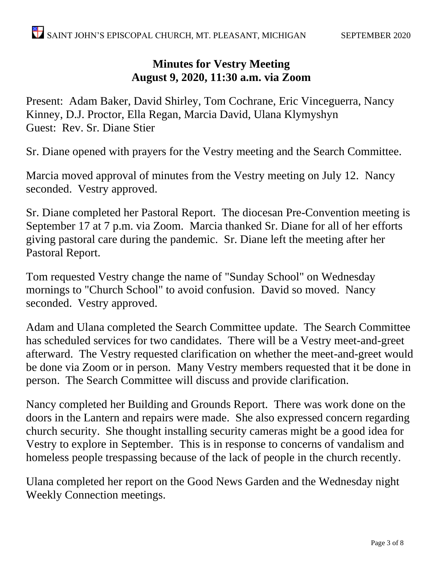### **Minutes for Vestry Meeting August 9, 2020, 11:30 a.m. via Zoom**

Present: Adam Baker, David Shirley, Tom Cochrane, Eric Vinceguerra, Nancy Kinney, D.J. Proctor, Ella Regan, Marcia David, Ulana Klymyshyn Guest: Rev. Sr. Diane Stier

Sr. Diane opened with prayers for the Vestry meeting and the Search Committee.

Marcia moved approval of minutes from the Vestry meeting on July 12. Nancy seconded. Vestry approved.

Sr. Diane completed her Pastoral Report. The diocesan Pre-Convention meeting is September 17 at 7 p.m. via Zoom. Marcia thanked Sr. Diane for all of her efforts giving pastoral care during the pandemic. Sr. Diane left the meeting after her Pastoral Report.

Tom requested Vestry change the name of "Sunday School" on Wednesday mornings to "Church School" to avoid confusion. David so moved. Nancy seconded. Vestry approved.

Adam and Ulana completed the Search Committee update. The Search Committee has scheduled services for two candidates. There will be a Vestry meet-and-greet afterward. The Vestry requested clarification on whether the meet-and-greet would be done via Zoom or in person. Many Vestry members requested that it be done in person. The Search Committee will discuss and provide clarification.

Nancy completed her Building and Grounds Report. There was work done on the doors in the Lantern and repairs were made. She also expressed concern regarding church security. She thought installing security cameras might be a good idea for Vestry to explore in September. This is in response to concerns of vandalism and homeless people trespassing because of the lack of people in the church recently.

Ulana completed her report on the Good News Garden and the Wednesday night Weekly Connection meetings.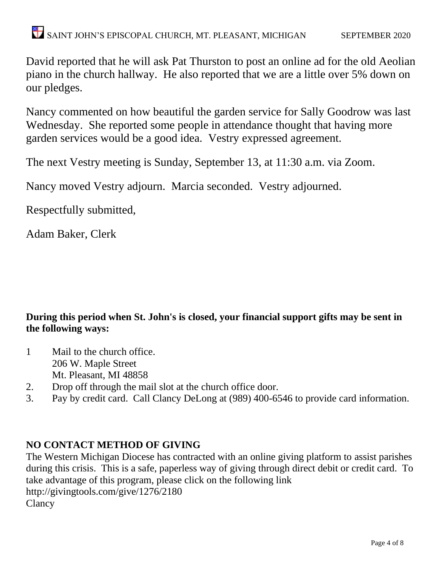David reported that he will ask Pat Thurston to post an online ad for the old Aeolian piano in the church hallway. He also reported that we are a little over 5% down on our pledges.

Nancy commented on how beautiful the garden service for Sally Goodrow was last Wednesday. She reported some people in attendance thought that having more garden services would be a good idea. Vestry expressed agreement.

The next Vestry meeting is Sunday, September 13, at 11:30 a.m. via Zoom.

Nancy moved Vestry adjourn. Marcia seconded. Vestry adjourned.

Respectfully submitted,

Adam Baker, Clerk

### **During this period when St. John's is closed, your financial support gifts may be sent in the following ways:**

- 1 Mail to the church office. 206 W. Maple Street Mt. Pleasant, MI 48858
- 2. Drop off through the mail slot at the church office door.
- 3. Pay by credit card. Call Clancy DeLong at (989) 400-6546 to provide card information.

### **NO CONTACT METHOD OF GIVING**

The Western Michigan Diocese has contracted with an online giving platform to assist parishes during this crisis. This is a safe, paperless way of giving through direct debit or credit card. To take advantage of this program, please click on the following link <http://givingtools.com/give/1276/2180> Clancy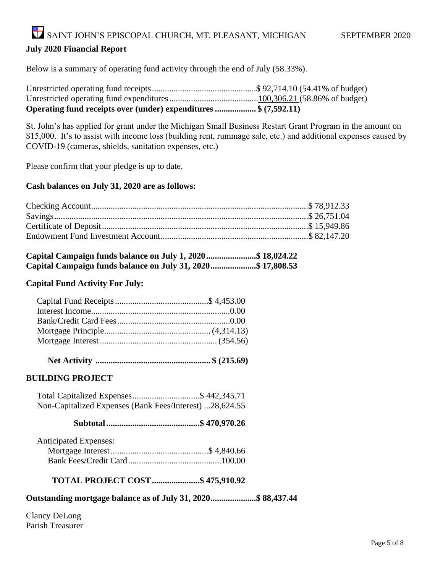#### **July 2020 Financial Report**

Below is a summary of operating fund activity through the end of July (58.33%).

| Operating fund receipts over (under) expenditures \$ (7,592.11) |  |
|-----------------------------------------------------------------|--|

St. John's has applied for grant under the Michigan Small Business Restart Grant Program in the amount on \$15,000. It's to assist with income loss (building rent, rummage sale, etc.) and additional expenses caused by COVID-19 (cameras, shields, sanitation expenses, etc.)

Please confirm that your pledge is up to date.

#### **Cash balances on July 31, 2020 are as follows:**

| Capital Campaign funds balance on July 1, 2020\$ 18,024.22  |  |
|-------------------------------------------------------------|--|
| Capital Campaign funds balance on July 31, 2020\$ 17,808.53 |  |

#### **Capital Fund Activity For July:**

|--|--|--|--|--|

#### **BUILDING PROJECT**

 Total Capitalized Expenses...............................\$ 442,345.71 Non-Capitalized Expenses (Bank Fees/Interest) ...28,624.55

 **Subtotal...........................................\$ 470,970.26**

| <b>Anticipated Expenses:</b> |  |
|------------------------------|--|
|                              |  |
|                              |  |

#### **TOTAL PROJECT COST......................\$ 475,910.92**

#### **Outstanding mortgage balance as of July 31, 2020.....................\$ 88,437.44**

Clancy DeLong Parish Treasurer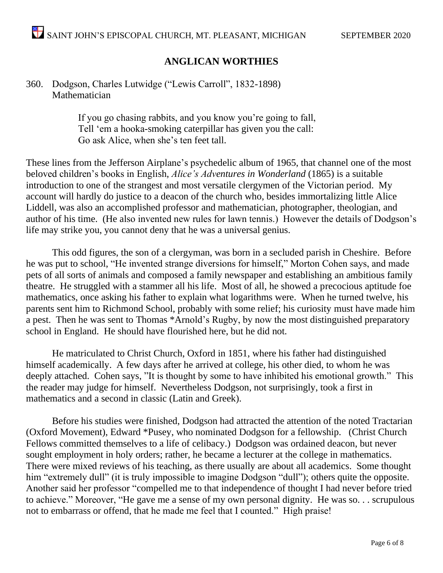### **ANGLICAN WORTHIES**

#### 360. Dodgson, Charles Lutwidge ("Lewis Carroll", 1832-1898) **Mathematician**

If you go chasing rabbits, and you know you're going to fall, Tell 'em a hooka-smoking caterpillar has given you the call: Go ask Alice, when she's ten feet tall.

These lines from the Jefferson Airplane's psychedelic album of 1965, that channel one of the most beloved children's books in English, *Alice's Adventures in Wonderland* (1865) is a suitable introduction to one of the strangest and most versatile clergymen of the Victorian period. My account will hardly do justice to a deacon of the church who, besides immortalizing little Alice Liddell, was also an accomplished professor and mathematician, photographer, theologian, and author of his time. (He also invented new rules for lawn tennis.) However the details of Dodgson's life may strike you, you cannot deny that he was a universal genius.

This odd figures, the son of a clergyman, was born in a secluded parish in Cheshire. Before he was put to school, "He invented strange diversions for himself," Morton Cohen says, and made pets of all sorts of animals and composed a family newspaper and establishing an ambitious family theatre. He struggled with a stammer all his life. Most of all, he showed a precocious aptitude foe mathematics, once asking his father to explain what logarithms were. When he turned twelve, his parents sent him to Richmond School, probably with some relief; his curiosity must have made him a pest. Then he was sent to Thomas \*Arnold's Rugby, by now the most distinguished preparatory school in England. He should have flourished here, but he did not.

He matriculated to Christ Church, Oxford in 1851, where his father had distinguished himself academically. A few days after he arrived at college, his other died, to whom he was deeply attached. Cohen says, "It is thought by some to have inhibited his emotional growth." This the reader may judge for himself. Nevertheless Dodgson, not surprisingly, took a first in mathematics and a second in classic (Latin and Greek).

Before his studies were finished, Dodgson had attracted the attention of the noted Tractarian (Oxford Movement), Edward \*Pusey, who nominated Dodgson for a fellowship. (Christ Church Fellows committed themselves to a life of celibacy.) Dodgson was ordained deacon, but never sought employment in holy orders; rather, he became a lecturer at the college in mathematics. There were mixed reviews of his teaching, as there usually are about all academics. Some thought him "extremely dull" (it is truly impossible to imagine Dodgson "dull"); others quite the opposite. Another said her professor "compelled me to that independence of thought I had never before tried to achieve." Moreover, "He gave me a sense of my own personal dignity. He was so. . . scrupulous not to embarrass or offend, that he made me feel that I counted." High praise!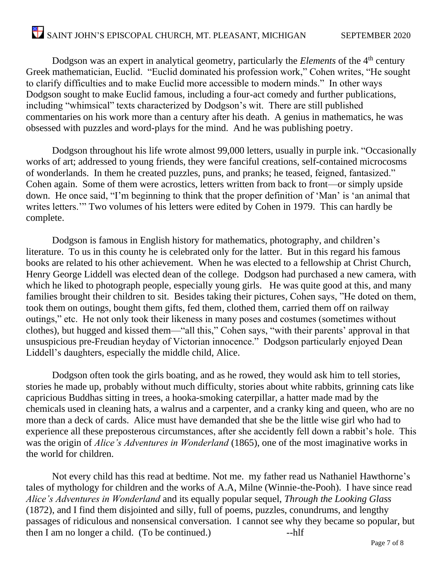Dodgson was an expert in analytical geometry, particularly the *Elements* of the 4<sup>th</sup> century Greek mathematician, Euclid. "Euclid dominated his profession work," Cohen writes, "He sought to clarify difficulties and to make Euclid more accessible to modern minds." In other ways Dodgson sought to make Euclid famous, including a four-act comedy and further publications, including "whimsical" texts characterized by Dodgson's wit. There are still published commentaries on his work more than a century after his death. A genius in mathematics, he was obsessed with puzzles and word-plays for the mind. And he was publishing poetry.

Dodgson throughout his life wrote almost 99,000 letters, usually in purple ink. "Occasionally works of art; addressed to young friends, they were fanciful creations, self-contained microcosms of wonderlands. In them he created puzzles, puns, and pranks; he teased, feigned, fantasized." Cohen again. Some of them were acrostics, letters written from back to front—or simply upside down. He once said, "I'm beginning to think that the proper definition of 'Man' is 'an animal that writes letters.'" Two volumes of his letters were edited by Cohen in 1979. This can hardly be complete.

Dodgson is famous in English history for mathematics, photography, and children's literature. To us in this county he is celebrated only for the latter. But in this regard his famous books are related to his other achievement. When he was elected to a fellowship at Christ Church, Henry George Liddell was elected dean of the college. Dodgson had purchased a new camera, with which he liked to photograph people, especially young girls. He was quite good at this, and many families brought their children to sit. Besides taking their pictures, Cohen says, "He doted on them, took them on outings, bought them gifts, fed them, clothed them, carried them off on railway outings," etc. He not only took their likeness in many poses and costumes (sometimes without clothes), but hugged and kissed them—"all this," Cohen says, "with their parents' approval in that unsuspicious pre-Freudian heyday of Victorian innocence." Dodgson particularly enjoyed Dean Liddell's daughters, especially the middle child, Alice.

Dodgson often took the girls boating, and as he rowed, they would ask him to tell stories, stories he made up, probably without much difficulty, stories about white rabbits, grinning cats like capricious Buddhas sitting in trees, a hooka-smoking caterpillar, a hatter made mad by the chemicals used in cleaning hats, a walrus and a carpenter, and a cranky king and queen, who are no more than a deck of cards. Alice must have demanded that she be the little wise girl who had to experience all these preposterous circumstances, after she accidently fell down a rabbit's hole. This was the origin of *Alice's Adventures in Wonderland* (1865), one of the most imaginative works in the world for children.

Not every child has this read at bedtime. Not me. my father read us Nathaniel Hawthorne's tales of mythology for children and the works of A.A, Milne (Winnie-the-Pooh). I have since read *Alice's Adventures in Wonderland* and its equally popular sequel, *Through the Looking Glass* (1872), and I find them disjointed and silly, full of poems, puzzles, conundrums, and lengthy passages of ridiculous and nonsensical conversation. I cannot see why they became so popular, but then I am no longer a child. (To be continued.) --hlf